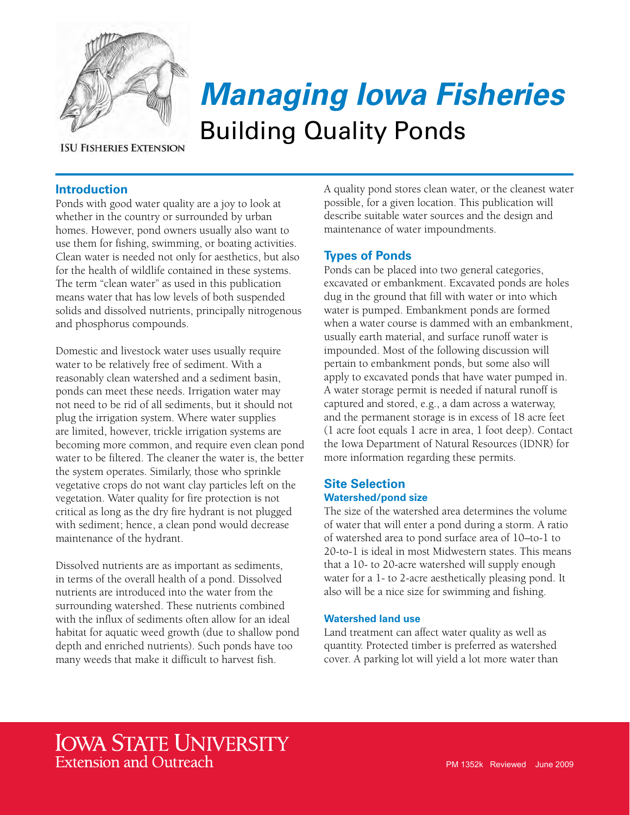

**ISU FISHERIES EXTENSION** 

# *Managing Iowa Fisheries* Building Quality Ponds

# **Introduction**

Ponds with good water quality are a joy to look at whether in the country or surrounded by urban homes. However, pond owners usually also want to use them for fishing, swimming, or boating activities. Clean water is needed not only for aesthetics, but also for the health of wildlife contained in these systems. The term "clean water" as used in this publication means water that has low levels of both suspended solids and dissolved nutrients, principally nitrogenous and phosphorus compounds.

Domestic and livestock water uses usually require water to be relatively free of sediment. With a reasonably clean watershed and a sediment basin, ponds can meet these needs. Irrigation water may not need to be rid of all sediments, but it should not plug the irrigation system. Where water supplies are limited, however, trickle irrigation systems are becoming more common, and require even clean pond water to be filtered. The cleaner the water is, the better the system operates. Similarly, those who sprinkle vegetative crops do not want clay particles left on the vegetation. Water quality for fire protection is not critical as long as the dry fire hydrant is not plugged with sediment; hence, a clean pond would decrease maintenance of the hydrant.

Dissolved nutrients are as important as sediments, in terms of the overall health of a pond. Dissolved nutrients are introduced into the water from the surrounding watershed. These nutrients combined with the influx of sediments often allow for an ideal habitat for aquatic weed growth (due to shallow pond depth and enriched nutrients). Such ponds have too many weeds that make it difficult to harvest fish.

A quality pond stores clean water, or the cleanest water possible, for a given location. This publication will describe suitable water sources and the design and maintenance of water impoundments.

# **Types of Ponds**

Ponds can be placed into two general categories, excavated or embankment. Excavated ponds are holes dug in the ground that fill with water or into which water is pumped. Embankment ponds are formed when a water course is dammed with an embankment, usually earth material, and surface runoff water is impounded. Most of the following discussion will pertain to embankment ponds, but some also will apply to excavated ponds that have water pumped in. A water storage permit is needed if natural runoff is captured and stored, e.g., a dam across a waterway, and the permanent storage is in excess of 18 acre feet (1 acre foot equals 1 acre in area, 1 foot deep). Contact the Iowa Department of Natural Resources (IDNR) for more information regarding these permits.

# **Site Selection Watershed/pond size**

The size of the watershed area determines the volume of water that will enter a pond during a storm. A ratio of watershed area to pond surface area of 10–to-1 to 20-to-1 is ideal in most Midwestern states. This means that a 10- to 20-acre watershed will supply enough water for a 1- to 2-acre aesthetically pleasing pond. It also will be a nice size for swimming and fishing.

# **Watershed land use**

Land treatment can affect water quality as well as quantity. Protected timber is preferred as watershed cover. A parking lot will yield a lot more water than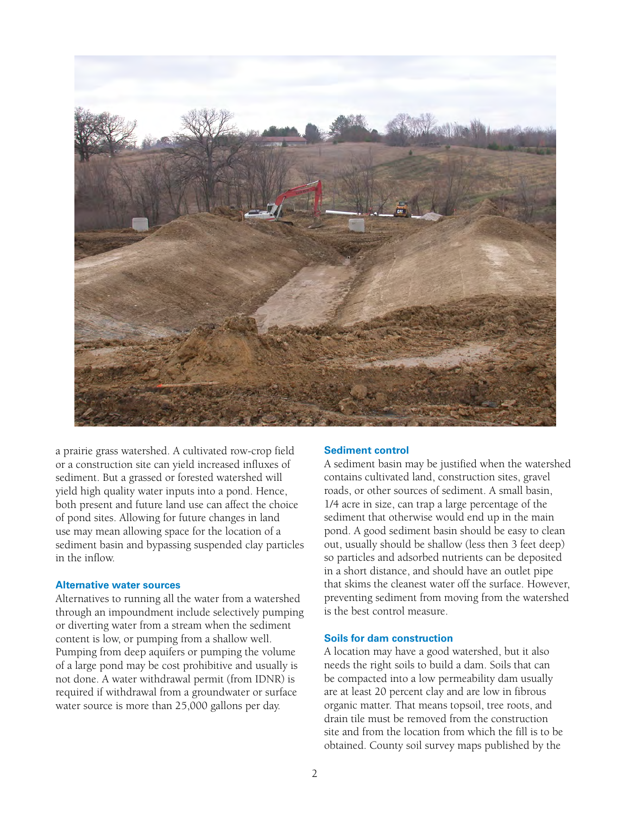

a prairie grass watershed. A cultivated row-crop field or a construction site can yield increased influxes of sediment. But a grassed or forested watershed will yield high quality water inputs into a pond. Hence, both present and future land use can affect the choice of pond sites. Allowing for future changes in land use may mean allowing space for the location of a sediment basin and bypassing suspended clay particles in the inflow.

## **Alternative water sources**

Alternatives to running all the water from a watershed through an impoundment include selectively pumping or diverting water from a stream when the sediment content is low, or pumping from a shallow well. Pumping from deep aquifers or pumping the volume of a large pond may be cost prohibitive and usually is not done. A water withdrawal permit (from IDNR) is required if withdrawal from a groundwater or surface water source is more than 25,000 gallons per day.

#### **Sediment control**

A sediment basin may be justified when the watershed contains cultivated land, construction sites, gravel roads, or other sources of sediment. A small basin, 1/4 acre in size, can trap a large percentage of the sediment that otherwise would end up in the main pond. A good sediment basin should be easy to clean out, usually should be shallow (less then 3 feet deep) so particles and adsorbed nutrients can be deposited in a short distance, and should have an outlet pipe that skims the cleanest water off the surface. However, preventing sediment from moving from the watershed is the best control measure.

#### **Soils for dam construction**

A location may have a good watershed, but it also needs the right soils to build a dam. Soils that can be compacted into a low permeability dam usually are at least 20 percent clay and are low in fibrous organic matter. That means topsoil, tree roots, and drain tile must be removed from the construction site and from the location from which the fill is to be obtained. County soil survey maps published by the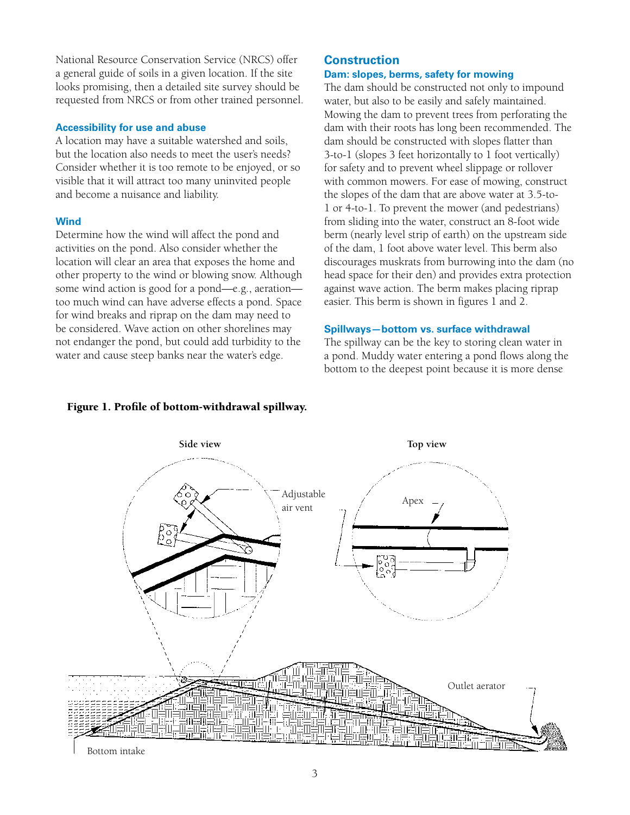National Resource Conservation Service (NRCS) offer a general guide of soils in a given location. If the site looks promising, then a detailed site survey should be requested from NRCS or from other trained personnel.

## **Accessibility for use and abuse**

A location may have a suitable watershed and soils, but the location also needs to meet the user's needs? Consider whether it is too remote to be enjoyed, or so visible that it will attract too many uninvited people and become a nuisance and liability.

# **Wind**

Determine how the wind will affect the pond and activities on the pond. Also consider whether the location will clear an area that exposes the home and other property to the wind or blowing snow. Although some wind action is good for a pond—e.g., aeration too much wind can have adverse effects a pond. Space for wind breaks and riprap on the dam may need to be considered. Wave action on other shorelines may not endanger the pond, but could add turbidity to the water and cause steep banks near the water's edge.

## **Construction Dam: slopes, berms, safety for mowing**

The dam should be constructed not only to impound water, but also to be easily and safely maintained. Mowing the dam to prevent trees from perforating the dam with their roots has long been recommended. The dam should be constructed with slopes flatter than 3-to-1 (slopes 3 feet horizontally to 1 foot vertically) for safety and to prevent wheel slippage or rollover with common mowers. For ease of mowing, construct the slopes of the dam that are above water at 3.5-to-1 or 4-to-1. To prevent the mower (and pedestrians) from sliding into the water, construct an 8-foot wide berm (nearly level strip of earth) on the upstream side of the dam, 1 foot above water level. This berm also discourages muskrats from burrowing into the dam (no head space for their den) and provides extra protection against wave action. The berm makes placing riprap easier. This berm is shown in figures 1 and 2.

## **Spillways—bottom vs. surface withdrawal**

The spillway can be the key to storing clean water in a pond. Muddy water entering a pond flows along the bottom to the deepest point because it is more dense



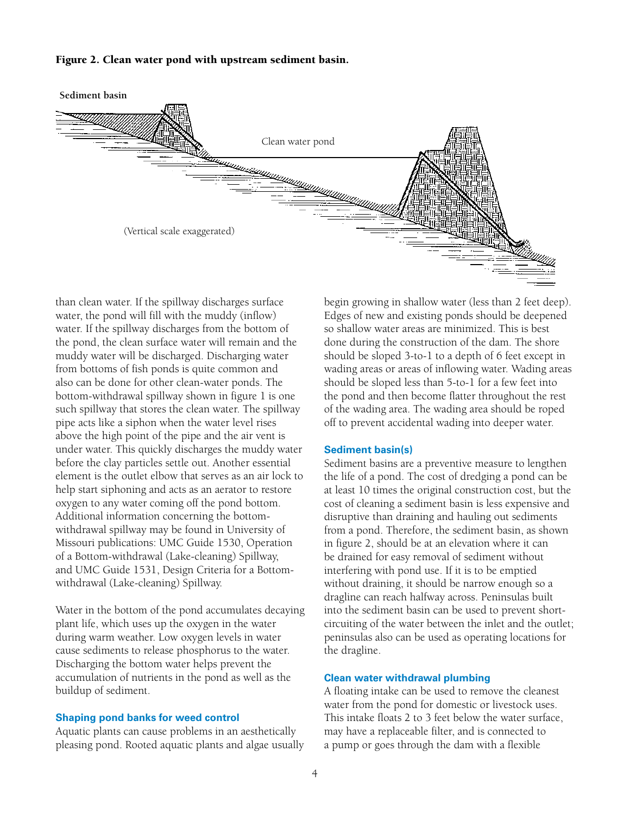#### Figure 2. Clean water pond with upstream sediment basin.



than clean water. If the spillway discharges surface water, the pond will fill with the muddy (inflow) water. If the spillway discharges from the bottom of the pond, the clean surface water will remain and the muddy water will be discharged. Discharging water from bottoms of fish ponds is quite common and also can be done for other clean-water ponds. The bottom-withdrawal spillway shown in figure 1 is one such spillway that stores the clean water. The spillway pipe acts like a siphon when the water level rises above the high point of the pipe and the air vent is under water. This quickly discharges the muddy water before the clay particles settle out. Another essential element is the outlet elbow that serves as an air lock to help start siphoning and acts as an aerator to restore oxygen to any water coming off the pond bottom. Additional information concerning the bottomwithdrawal spillway may be found in University of Missouri publications: UMC Guide 1530, Operation of a Bottom-withdrawal (Lake-cleaning) Spillway, and UMC Guide 1531, Design Criteria for a Bottomwithdrawal (Lake-cleaning) Spillway.

Water in the bottom of the pond accumulates decaying plant life, which uses up the oxygen in the water during warm weather. Low oxygen levels in water cause sediments to release phosphorus to the water. Discharging the bottom water helps prevent the accumulation of nutrients in the pond as well as the buildup of sediment.

#### **Shaping pond banks for weed control**

Aquatic plants can cause problems in an aesthetically pleasing pond. Rooted aquatic plants and algae usually begin growing in shallow water (less than 2 feet deep). Edges of new and existing ponds should be deepened so shallow water areas are minimized. This is best done during the construction of the dam. The shore should be sloped 3-to-1 to a depth of 6 feet except in wading areas or areas of inflowing water. Wading areas should be sloped less than 5-to-1 for a few feet into the pond and then become flatter throughout the rest of the wading area. The wading area should be roped off to prevent accidental wading into deeper water.

#### **Sediment basin(s)**

Sediment basins are a preventive measure to lengthen the life of a pond. The cost of dredging a pond can be at least 10 times the original construction cost, but the cost of cleaning a sediment basin is less expensive and disruptive than draining and hauling out sediments from a pond. Therefore, the sediment basin, as shown in figure 2, should be at an elevation where it can be drained for easy removal of sediment without interfering with pond use. If it is to be emptied without draining, it should be narrow enough so a dragline can reach halfway across. Peninsulas built into the sediment basin can be used to prevent shortcircuiting of the water between the inlet and the outlet; peninsulas also can be used as operating locations for the dragline.

#### **Clean water withdrawal plumbing**

A floating intake can be used to remove the cleanest water from the pond for domestic or livestock uses. This intake floats 2 to 3 feet below the water surface, may have a replaceable filter, and is connected to a pump or goes through the dam with a flexible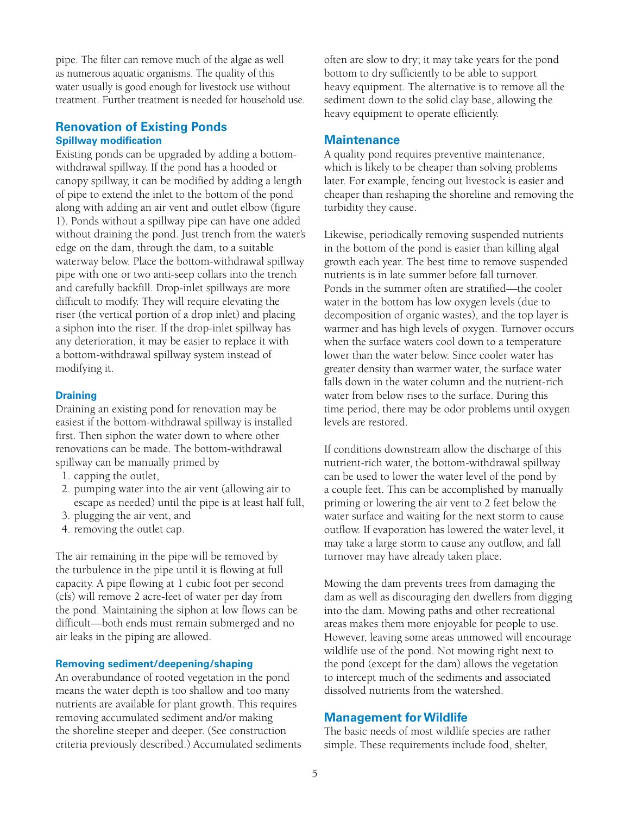pipe. The filter can remove much of the algae as well as numerous aquatic organisms. The quality of this water usually is good enough for livestock use without treatment. Further treatment is needed for household use.

# **Renovation of Existing Ponds Spillway modification**

Existing ponds can be upgraded by adding a bottomwithdrawal spillway. If the pond has a hooded or canopy spillway, it can be modified by adding a length of pipe to extend the inlet to the bottom of the pond along with adding an air vent and outlet elbow (figure 1). Ponds without a spillway pipe can have one added without draining the pond. Just trench from the water's edge on the dam, through the dam, to a suitable waterway below. Place the bottom-withdrawal spillway pipe with one or two anti-seep collars into the trench and carefully backfill. Drop-inlet spillways are more difficult to modify. They will require elevating the riser (the vertical portion of a drop inlet) and placing a siphon into the riser. If the drop-inlet spillway has any deterioration, it may be easier to replace it with a bottom-withdrawal spillway system instead of modifying it.

## **Draining**

Draining an existing pond for renovation may be easiest if the bottom-withdrawal spillway is installed first. Then siphon the water down to where other renovations can be made. The bottom-withdrawal spillway can be manually primed by

- 1. capping the outlet,
- 2. pumping water into the air vent (allowing air to escape as needed) until the pipe is at least half full,
- 3. plugging the air vent, and
- 4. removing the outlet cap.

The air remaining in the pipe will be removed by the turbulence in the pipe until it is flowing at full capacity. A pipe flowing at 1 cubic foot per second (cfs) will remove 2 acre-feet of water per day from the pond. Maintaining the siphon at low flows can be difficult—both ends must remain submerged and no air leaks in the piping are allowed.

# **Removing sediment/deepening/shaping**

An overabundance of rooted vegetation in the pond means the water depth is too shallow and too many nutrients are available for plant growth. This requires removing accumulated sediment and/or making the shoreline steeper and deeper. (See construction criteria previously described.) Accumulated sediments often are slow to dry; it may take years for the pond bottom to dry sufficiently to be able to support heavy equipment. The alternative is to remove all the sediment down to the solid clay base, allowing the heavy equipment to operate efficiently.

# **Maintenance**

A quality pond requires preventive maintenance, which is likely to be cheaper than solving problems later. For example, fencing out livestock is easier and cheaper than reshaping the shoreline and removing the turbidity they cause.

Likewise, periodically removing suspended nutrients in the bottom of the pond is easier than killing algal growth each year. The best time to remove suspended nutrients is in late summer before fall turnover. Ponds in the summer often are stratified—the cooler water in the bottom has low oxygen levels (due to decomposition of organic wastes), and the top layer is warmer and has high levels of oxygen. Turnover occurs when the surface waters cool down to a temperature lower than the water below. Since cooler water has greater density than warmer water, the surface water falls down in the water column and the nutrient-rich water from below rises to the surface. During this time period, there may be odor problems until oxygen levels are restored.

If conditions downstream allow the discharge of this nutrient-rich water, the bottom-withdrawal spillway can be used to lower the water level of the pond by a couple feet. This can be accomplished by manually priming or lowering the air vent to 2 feet below the water surface and waiting for the next storm to cause outflow. If evaporation has lowered the water level, it may take a large storm to cause any outflow, and fall turnover may have already taken place.

Mowing the dam prevents trees from damaging the dam as well as discouraging den dwellers from digging into the dam. Mowing paths and other recreational areas makes them more enjoyable for people to use. However, leaving some areas unmowed will encourage wildlife use of the pond. Not mowing right next to the pond (except for the dam) allows the vegetation to intercept much of the sediments and associated dissolved nutrients from the watershed.

# **Management for Wildlife**

The basic needs of most wildlife species are rather simple. These requirements include food, shelter,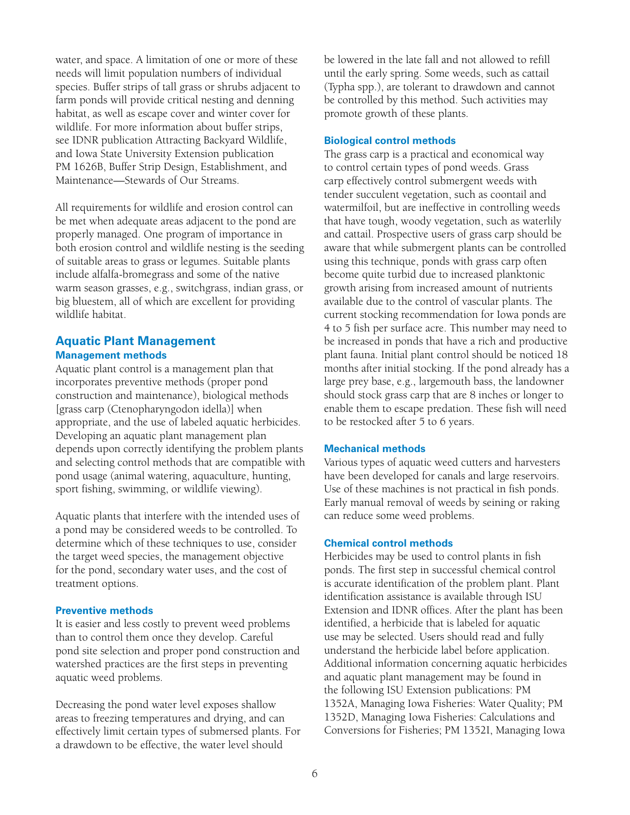water, and space. A limitation of one or more of these needs will limit population numbers of individual species. Buffer strips of tall grass or shrubs adjacent to farm ponds will provide critical nesting and denning habitat, as well as escape cover and winter cover for wildlife. For more information about buffer strips, see IDNR publication Attracting Backyard Wildlife, and Iowa State University Extension publication PM 1626B, Buffer Strip Design, Establishment, and Maintenance—Stewards of Our Streams.

All requirements for wildlife and erosion control can be met when adequate areas adjacent to the pond are properly managed. One program of importance in both erosion control and wildlife nesting is the seeding of suitable areas to grass or legumes. Suitable plants include alfalfa-bromegrass and some of the native warm season grasses, e.g., switchgrass, indian grass, or big bluestem, all of which are excellent for providing wildlife habitat.

# **Aquatic Plant Management Management methods**

Aquatic plant control is a management plan that incorporates preventive methods (proper pond construction and maintenance), biological methods [grass carp (Ctenopharyngodon idella)] when appropriate, and the use of labeled aquatic herbicides. Developing an aquatic plant management plan depends upon correctly identifying the problem plants and selecting control methods that are compatible with pond usage (animal watering, aquaculture, hunting, sport fishing, swimming, or wildlife viewing).

Aquatic plants that interfere with the intended uses of a pond may be considered weeds to be controlled. To determine which of these techniques to use, consider the target weed species, the management objective for the pond, secondary water uses, and the cost of treatment options.

# **Preventive methods**

It is easier and less costly to prevent weed problems than to control them once they develop. Careful pond site selection and proper pond construction and watershed practices are the first steps in preventing aquatic weed problems.

Decreasing the pond water level exposes shallow areas to freezing temperatures and drying, and can effectively limit certain types of submersed plants. For a drawdown to be effective, the water level should

be lowered in the late fall and not allowed to refill until the early spring. Some weeds, such as cattail (Typha spp.), are tolerant to drawdown and cannot be controlled by this method. Such activities may promote growth of these plants.

#### **Biological control methods**

The grass carp is a practical and economical way to control certain types of pond weeds. Grass carp effectively control submergent weeds with tender succulent vegetation, such as coontail and watermilfoil, but are ineffective in controlling weeds that have tough, woody vegetation, such as waterlily and cattail. Prospective users of grass carp should be aware that while submergent plants can be controlled using this technique, ponds with grass carp often become quite turbid due to increased planktonic growth arising from increased amount of nutrients available due to the control of vascular plants. The current stocking recommendation for Iowa ponds are 4 to 5 fish per surface acre. This number may need to be increased in ponds that have a rich and productive plant fauna. Initial plant control should be noticed 18 months after initial stocking. If the pond already has a large prey base, e.g., largemouth bass, the landowner should stock grass carp that are 8 inches or longer to enable them to escape predation. These fish will need to be restocked after 5 to 6 years.

#### **Mechanical methods**

Various types of aquatic weed cutters and harvesters have been developed for canals and large reservoirs. Use of these machines is not practical in fish ponds. Early manual removal of weeds by seining or raking can reduce some weed problems.

## **Chemical control methods**

Herbicides may be used to control plants in fish ponds. The first step in successful chemical control is accurate identification of the problem plant. Plant identification assistance is available through ISU Extension and IDNR offices. After the plant has been identified, a herbicide that is labeled for aquatic use may be selected. Users should read and fully understand the herbicide label before application. Additional information concerning aquatic herbicides and aquatic plant management may be found in the following ISU Extension publications: PM 1352A, Managing Iowa Fisheries: Water Quality; PM 1352D, Managing Iowa Fisheries: Calculations and Conversions for Fisheries; PM 1352I, Managing Iowa